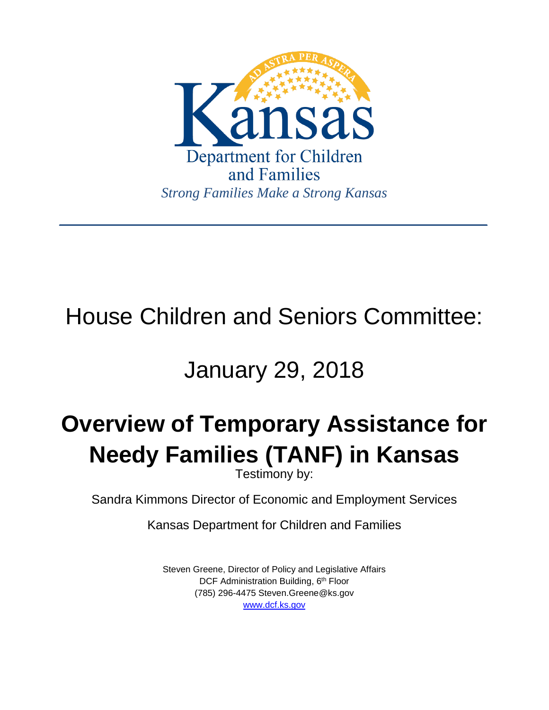

# House Children and Seniors Committee:

## January 29, 2018

# **Overview of Temporary Assistance for Needy Families (TANF) in Kansas**

Testimony by:

Sandra Kimmons Director of Economic and Employment Services

Kansas Department for Children and Families

Steven Greene, Director of Policy and Legislative Affairs DCF Administration Building, 6<sup>th</sup> Floor (785) 296-4475 Steven.Greene@ks.gov [www.dcf.ks.gov](http://www.dcf.ks.gov/)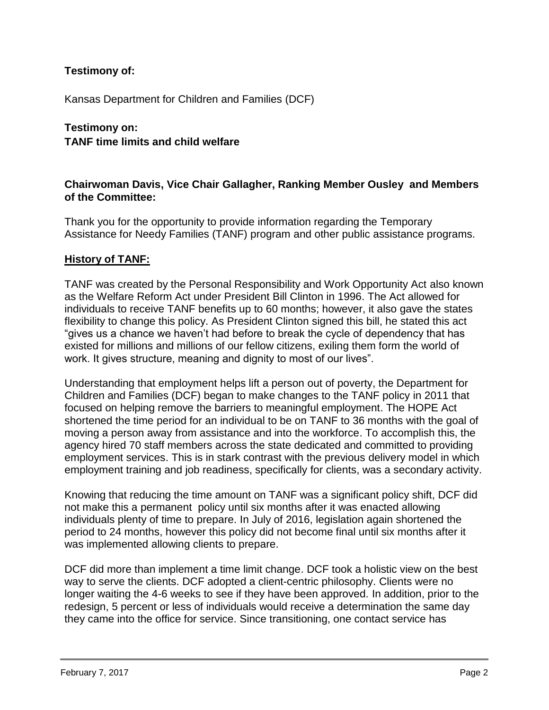## **Testimony of:**

Kansas Department for Children and Families (DCF)

## **Testimony on: TANF time limits and child welfare**

### **Chairwoman Davis, Vice Chair Gallagher, Ranking Member Ousley and Members of the Committee:**

Thank you for the opportunity to provide information regarding the Temporary Assistance for Needy Families (TANF) program and other public assistance programs.

#### **History of TANF:**

TANF was created by the Personal Responsibility and Work Opportunity Act also known as the Welfare Reform Act under President Bill Clinton in 1996. The Act allowed for individuals to receive TANF benefits up to 60 months; however, it also gave the states flexibility to change this policy. As President Clinton signed this bill, he stated this act "gives us a chance we haven't had before to break the cycle of dependency that has existed for millions and millions of our fellow citizens, exiling them form the world of work. It gives structure, meaning and dignity to most of our lives".

Understanding that employment helps lift a person out of poverty, the Department for Children and Families (DCF) began to make changes to the TANF policy in 2011 that focused on helping remove the barriers to meaningful employment. The HOPE Act shortened the time period for an individual to be on TANF to 36 months with the goal of moving a person away from assistance and into the workforce. To accomplish this, the agency hired 70 staff members across the state dedicated and committed to providing employment services. This is in stark contrast with the previous delivery model in which employment training and job readiness, specifically for clients, was a secondary activity.

Knowing that reducing the time amount on TANF was a significant policy shift, DCF did not make this a permanent policy until six months after it was enacted allowing individuals plenty of time to prepare. In July of 2016, legislation again shortened the period to 24 months, however this policy did not become final until six months after it was implemented allowing clients to prepare.

DCF did more than implement a time limit change. DCF took a holistic view on the best way to serve the clients. DCF adopted a client-centric philosophy. Clients were no longer waiting the 4-6 weeks to see if they have been approved. In addition, prior to the redesign, 5 percent or less of individuals would receive a determination the same day they came into the office for service. Since transitioning, one contact service has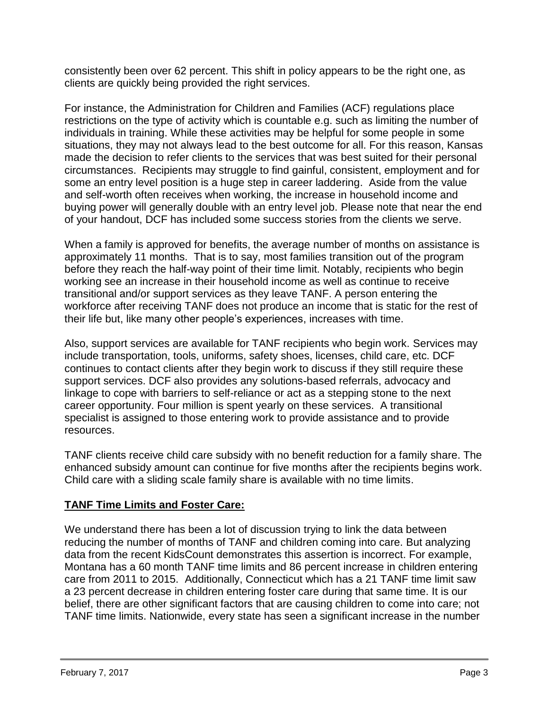consistently been over 62 percent. This shift in policy appears to be the right one, as clients are quickly being provided the right services.

For instance, the Administration for Children and Families (ACF) regulations place restrictions on the type of activity which is countable e.g. such as limiting the number of individuals in training. While these activities may be helpful for some people in some situations, they may not always lead to the best outcome for all. For this reason, Kansas made the decision to refer clients to the services that was best suited for their personal circumstances. Recipients may struggle to find gainful, consistent, employment and for some an entry level position is a huge step in career laddering. Aside from the value and self-worth often receives when working, the increase in household income and buying power will generally double with an entry level job. Please note that near the end of your handout, DCF has included some success stories from the clients we serve.

When a family is approved for benefits, the average number of months on assistance is approximately 11 months. That is to say, most families transition out of the program before they reach the half-way point of their time limit. Notably, recipients who begin working see an increase in their household income as well as continue to receive transitional and/or support services as they leave TANF. A person entering the workforce after receiving TANF does not produce an income that is static for the rest of their life but, like many other people's experiences, increases with time.

Also, support services are available for TANF recipients who begin work. Services may include transportation, tools, uniforms, safety shoes, licenses, child care, etc. DCF continues to contact clients after they begin work to discuss if they still require these support services. DCF also provides any solutions-based referrals, advocacy and linkage to cope with barriers to self-reliance or act as a stepping stone to the next career opportunity. Four million is spent yearly on these services. A transitional specialist is assigned to those entering work to provide assistance and to provide resources.

TANF clients receive child care subsidy with no benefit reduction for a family share. The enhanced subsidy amount can continue for five months after the recipients begins work. Child care with a sliding scale family share is available with no time limits.

## **TANF Time Limits and Foster Care:**

We understand there has been a lot of discussion trying to link the data between reducing the number of months of TANF and children coming into care. But analyzing data from the recent KidsCount demonstrates this assertion is incorrect. For example, Montana has a 60 month TANF time limits and 86 percent increase in children entering care from 2011 to 2015. Additionally, Connecticut which has a 21 TANF time limit saw a 23 percent decrease in children entering foster care during that same time. It is our belief, there are other significant factors that are causing children to come into care; not TANF time limits. Nationwide, every state has seen a significant increase in the number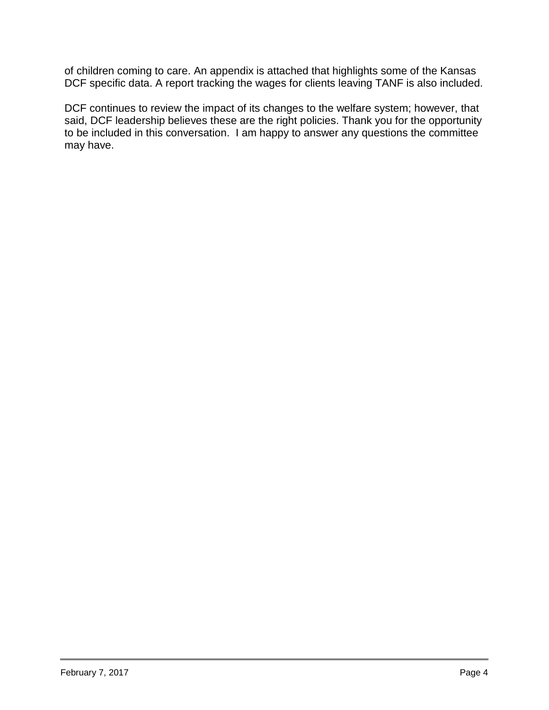of children coming to care. An appendix is attached that highlights some of the Kansas DCF specific data. A report tracking the wages for clients leaving TANF is also included.

DCF continues to review the impact of its changes to the welfare system; however, that said, DCF leadership believes these are the right policies. Thank you for the opportunity to be included in this conversation. I am happy to answer any questions the committee may have.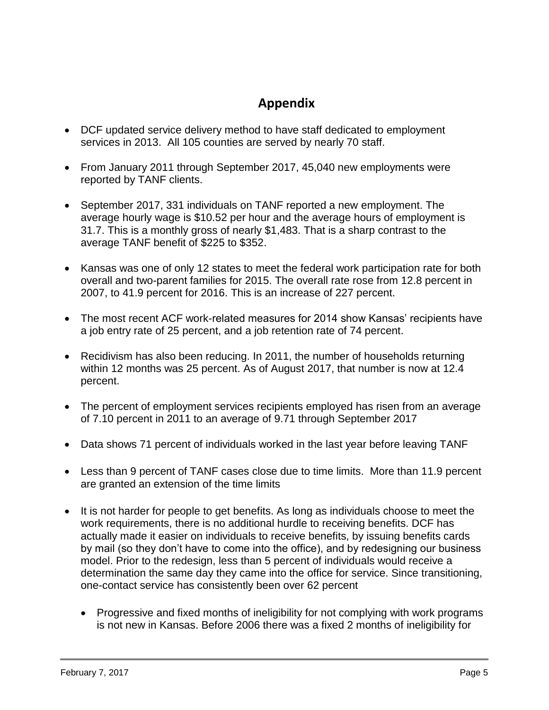## **Appendix**

- DCF updated service delivery method to have staff dedicated to employment services in 2013. All 105 counties are served by nearly 70 staff.
- From January 2011 through September 2017, 45,040 new employments were reported by TANF clients.
- September 2017, 331 individuals on TANF reported a new employment. The average hourly wage is \$10.52 per hour and the average hours of employment is 31.7. This is a monthly gross of nearly \$1,483. That is a sharp contrast to the average TANF benefit of \$225 to \$352.
- Kansas was one of only 12 states to meet the federal work participation rate for both overall and two-parent families for 2015. The overall rate rose from 12.8 percent in 2007, to 41.9 percent for 2016. This is an increase of 227 percent.
- The most recent ACF work-related measures for 2014 show Kansas' recipients have a job entry rate of 25 percent, and a job retention rate of 74 percent.
- Recidivism has also been reducing. In 2011, the number of households returning within 12 months was 25 percent. As of August 2017, that number is now at 12.4 percent.
- The percent of employment services recipients employed has risen from an average of 7.10 percent in 2011 to an average of 9.71 through September 2017
- Data shows 71 percent of individuals worked in the last year before leaving TANF
- Less than 9 percent of TANF cases close due to time limits. More than 11.9 percent are granted an extension of the time limits
- It is not harder for people to get benefits. As long as individuals choose to meet the work requirements, there is no additional hurdle to receiving benefits. DCF has actually made it easier on individuals to receive benefits, by issuing benefits cards by mail (so they don't have to come into the office), and by redesigning our business model. Prior to the redesign, less than 5 percent of individuals would receive a determination the same day they came into the office for service. Since transitioning, one-contact service has consistently been over 62 percent
	- Progressive and fixed months of ineligibility for not complying with work programs is not new in Kansas. Before 2006 there was a fixed 2 months of ineligibility for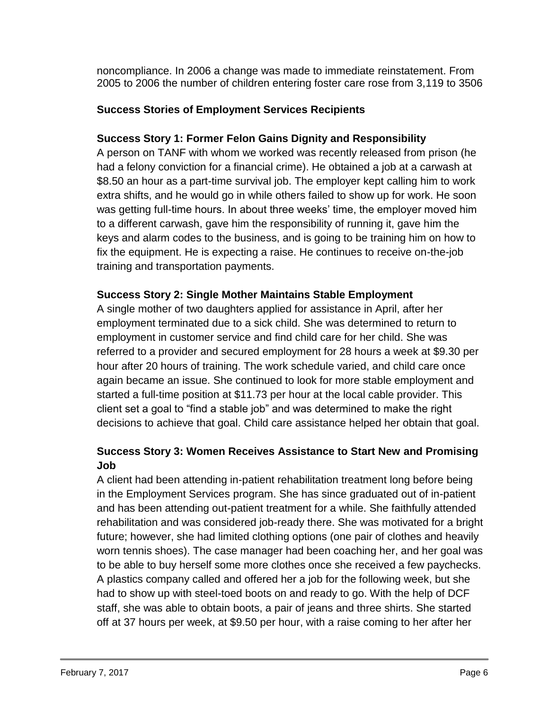noncompliance. In 2006 a change was made to immediate reinstatement. From 2005 to 2006 the number of children entering foster care rose from 3,119 to 3506

## **Success Stories of Employment Services Recipients**

## **Success Story 1: Former Felon Gains Dignity and Responsibility**

A person on TANF with whom we worked was recently released from prison (he had a felony conviction for a financial crime). He obtained a job at a carwash at \$8.50 an hour as a part-time survival job. The employer kept calling him to work extra shifts, and he would go in while others failed to show up for work. He soon was getting full-time hours. In about three weeks' time, the employer moved him to a different carwash, gave him the responsibility of running it, gave him the keys and alarm codes to the business, and is going to be training him on how to fix the equipment. He is expecting a raise. He continues to receive on-the-job training and transportation payments.

## **Success Story 2: Single Mother Maintains Stable Employment**

A single mother of two daughters applied for assistance in April, after her employment terminated due to a sick child. She was determined to return to employment in customer service and find child care for her child. She was referred to a provider and secured employment for 28 hours a week at \$9.30 per hour after 20 hours of training. The work schedule varied, and child care once again became an issue. She continued to look for more stable employment and started a full-time position at \$11.73 per hour at the local cable provider. This client set a goal to "find a stable job" and was determined to make the right decisions to achieve that goal. Child care assistance helped her obtain that goal.

## **Success Story 3: Women Receives Assistance to Start New and Promising Job**

A client had been attending in-patient rehabilitation treatment long before being in the Employment Services program. She has since graduated out of in-patient and has been attending out-patient treatment for a while. She faithfully attended rehabilitation and was considered job-ready there. She was motivated for a bright future; however, she had limited clothing options (one pair of clothes and heavily worn tennis shoes). The case manager had been coaching her, and her goal was to be able to buy herself some more clothes once she received a few paychecks. A plastics company called and offered her a job for the following week, but she had to show up with steel-toed boots on and ready to go. With the help of DCF staff, she was able to obtain boots, a pair of jeans and three shirts. She started off at 37 hours per week, at \$9.50 per hour, with a raise coming to her after her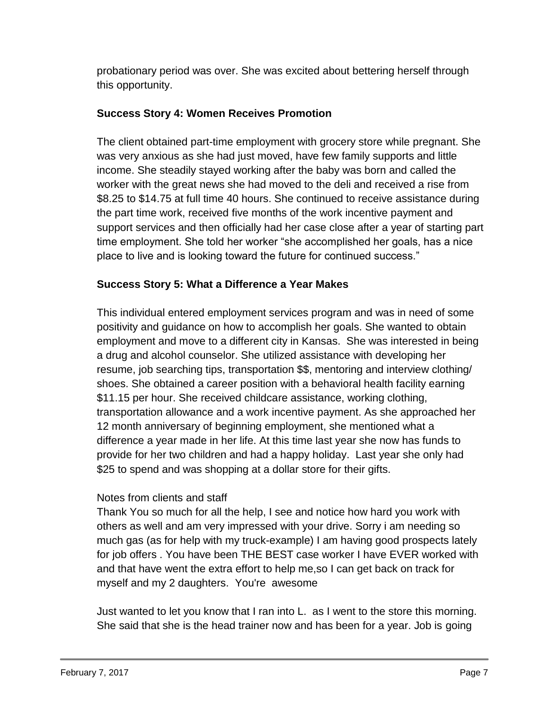probationary period was over. She was excited about bettering herself through this opportunity.

## **Success Story 4: Women Receives Promotion**

The client obtained part-time employment with grocery store while pregnant. She was very anxious as she had just moved, have few family supports and little income. She steadily stayed working after the baby was born and called the worker with the great news she had moved to the deli and received a rise from \$8.25 to \$14.75 at full time 40 hours. She continued to receive assistance during the part time work, received five months of the work incentive payment and support services and then officially had her case close after a year of starting part time employment. She told her worker "she accomplished her goals, has a nice place to live and is looking toward the future for continued success."

## **Success Story 5: What a Difference a Year Makes**

This individual entered employment services program and was in need of some positivity and guidance on how to accomplish her goals. She wanted to obtain employment and move to a different city in Kansas. She was interested in being a drug and alcohol counselor. She utilized assistance with developing her resume, job searching tips, transportation \$\$, mentoring and interview clothing/ shoes. She obtained a career position with a behavioral health facility earning \$11.15 per hour. She received childcare assistance, working clothing, transportation allowance and a work incentive payment. As she approached her 12 month anniversary of beginning employment, she mentioned what a difference a year made in her life. At this time last year she now has funds to provide for her two children and had a happy holiday. Last year she only had \$25 to spend and was shopping at a dollar store for their gifts.

## Notes from clients and staff

Thank You so much for all the help, I see and notice how hard you work with others as well and am very impressed with your drive. Sorry i am needing so much gas (as for help with my truck-example) I am having good prospects lately for job offers . You have been THE BEST case worker I have EVER worked with and that have went the extra effort to help me,so I can get back on track for myself and my 2 daughters. You're awesome

Just wanted to let you know that I ran into L. as I went to the store this morning. She said that she is the head trainer now and has been for a year. Job is going